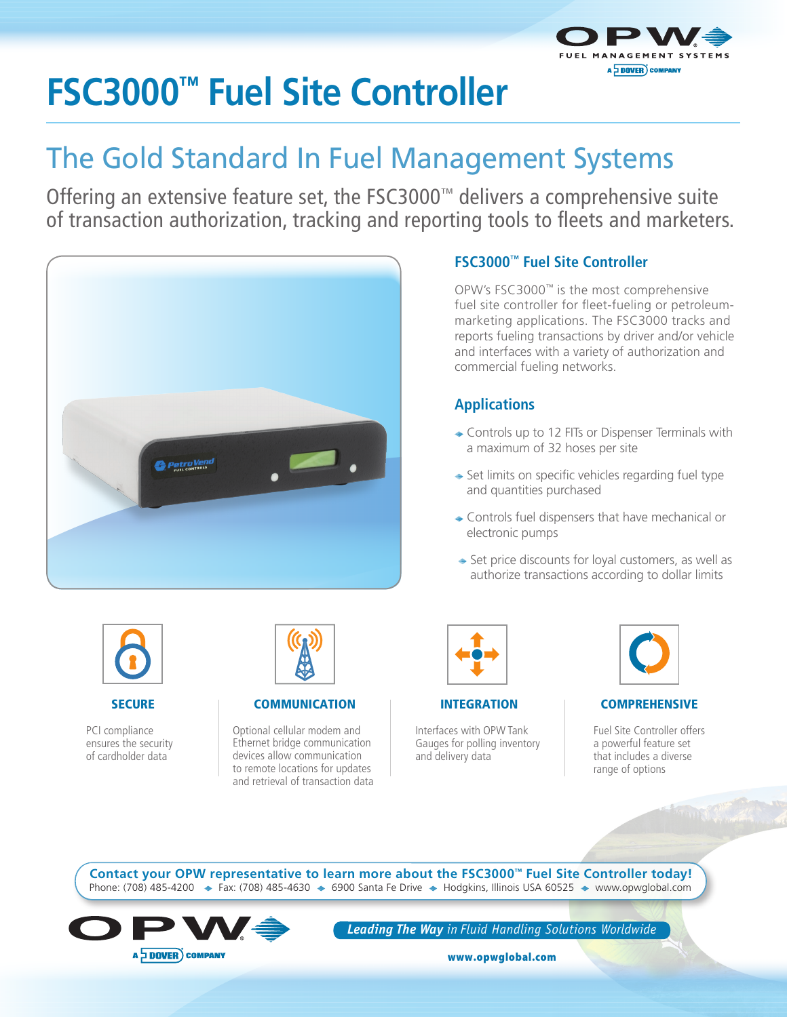

# **FSC3000™ Fuel Site Controller**

## The Gold Standard In Fuel Management Systems

Offering an extensive feature set, the FSC3000™ delivers a comprehensive suite of transaction authorization, tracking and reporting tools to fleets and marketers.



#### **FSC3000™ Fuel Site Controller**

OPW's FSC3000™ is the most comprehensive fuel site controller for fleet-fueling or petroleummarketing applications. The FSC3000 tracks and reports fueling transactions by driver and/or vehicle and interfaces with a variety of authorization and commercial fueling networks.

#### **Applications**

- ◆ Controls up to 12 FITs or Dispenser Terminals with a maximum of 32 hoses per site
- $\rightarrow$  Set limits on specific vehicles regarding fuel type and quantities purchased
- ◆ Controls fuel dispensers that have mechanical or electronic pumps
- $\Rightarrow$  Set price discounts for loyal customers, as well as authorize transactions according to dollar limits



#### **SECURE**

PCI compliance ensures the security of cardholder data



COMMUNICATION

Optional cellular modem and Ethernet bridge communication devices allow communication to remote locations for updates and retrieval of transaction data

|--|

INTEGRATION

Interfaces with OPW Tank Gauges for polling inventory and delivery data



#### **COMPREHENSIVE**

Fuel Site Controller offers a powerful feature set that includes a diverse range of options

Phone: (708) 485-4200  $\div$  Fax: (708) 485-4630  $\div$  6900 Santa Fe Drive  $\div$  Hodgkins, Illinois USA 60525  $\div$  www.opwglobal.com **Contact your OPW representative to learn more about the FSC3000™ Fuel Site Controller today!**



*Leading The Way in Fluid Handling Solutions Worldwide*

www.opwglobal.com